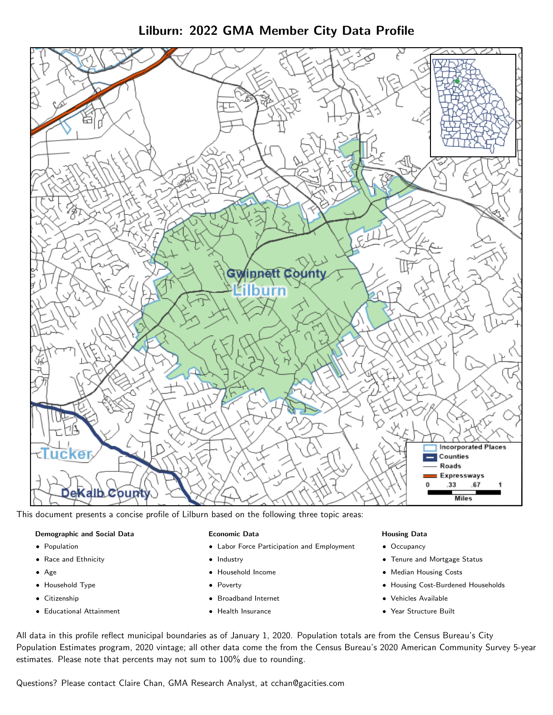Lilburn: 2022 GMA Member City Data Profile



This document presents a concise profile of Lilburn based on the following three topic areas:

#### Demographic and Social Data

- **•** Population
- Race and Ethnicity
- Age
- Household Type
- **Citizenship**
- Educational Attainment

#### Economic Data

- Labor Force Participation and Employment
- Industry
- Household Income
- Poverty
- Broadband Internet
- Health Insurance

#### Housing Data

- Occupancy
- Tenure and Mortgage Status
- Median Housing Costs
- Housing Cost-Burdened Households
- Vehicles Available
- Year Structure Built

All data in this profile reflect municipal boundaries as of January 1, 2020. Population totals are from the Census Bureau's City Population Estimates program, 2020 vintage; all other data come the from the Census Bureau's 2020 American Community Survey 5-year estimates. Please note that percents may not sum to 100% due to rounding.

Questions? Please contact Claire Chan, GMA Research Analyst, at [cchan@gacities.com.](mailto:cchan@gacities.com)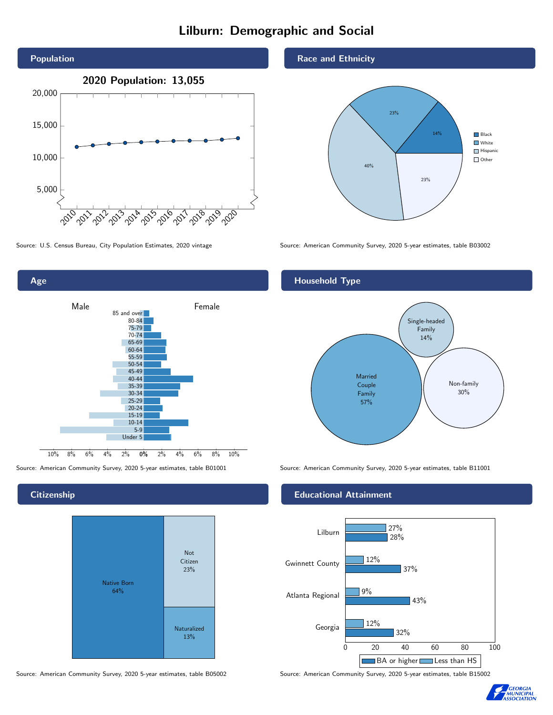# Lilburn: Demographic and Social





## **Citizenship**



Source: American Community Survey, 2020 5-year estimates, table B05002 Source: American Community Survey, 2020 5-year estimates, table B15002

### Race and Ethnicity



Source: U.S. Census Bureau, City Population Estimates, 2020 vintage Source: American Community Survey, 2020 5-year estimates, table B03002

## Household Type



Source: American Community Survey, 2020 5-year estimates, table B01001 Source: American Community Survey, 2020 5-year estimates, table B11001

### Educational Attainment



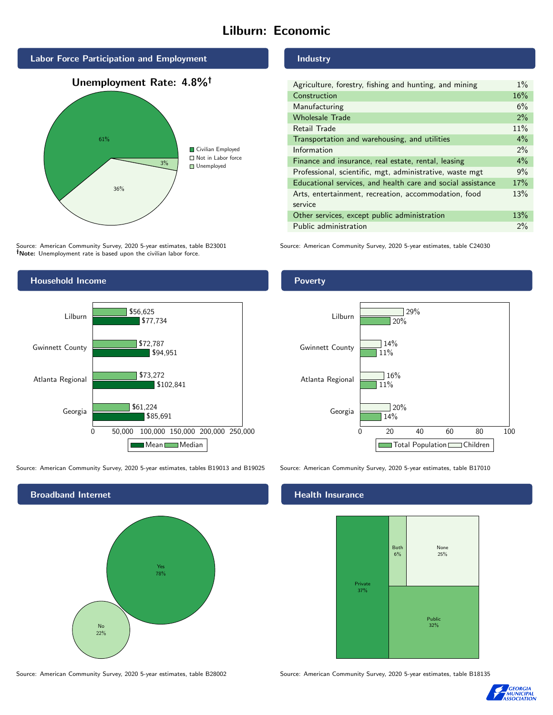# Lilburn: Economic







Source: American Community Survey, 2020 5-year estimates, table B23001 Note: Unemployment rate is based upon the civilian labor force.



Source: American Community Survey, 2020 5-year estimates, tables B19013 and B19025 Source: American Community Survey, 2020 5-year estimates, table B17010



Source: American Community Survey, 2020 5-year estimates, table B28002 Source: American Community Survey, 2020 5-year estimates, table B18135

Industry

| Agriculture, forestry, fishing and hunting, and mining      | $1\%$ |
|-------------------------------------------------------------|-------|
| Construction                                                | 16%   |
| Manufacturing                                               | 6%    |
| <b>Wholesale Trade</b>                                      | 2%    |
| Retail Trade                                                | 11%   |
| Transportation and warehousing, and utilities               | $4\%$ |
| Information                                                 | 2%    |
| Finance and insurance, real estate, rental, leasing         | $4\%$ |
| Professional, scientific, mgt, administrative, waste mgt    | 9%    |
| Educational services, and health care and social assistance | 17%   |
| Arts, entertainment, recreation, accommodation, food        | 13%   |
| service                                                     |       |
| Other services, except public administration                | 13%   |
| Public administration                                       | 2%    |

Source: American Community Survey, 2020 5-year estimates, table C24030

Poverty



## Health Insurance